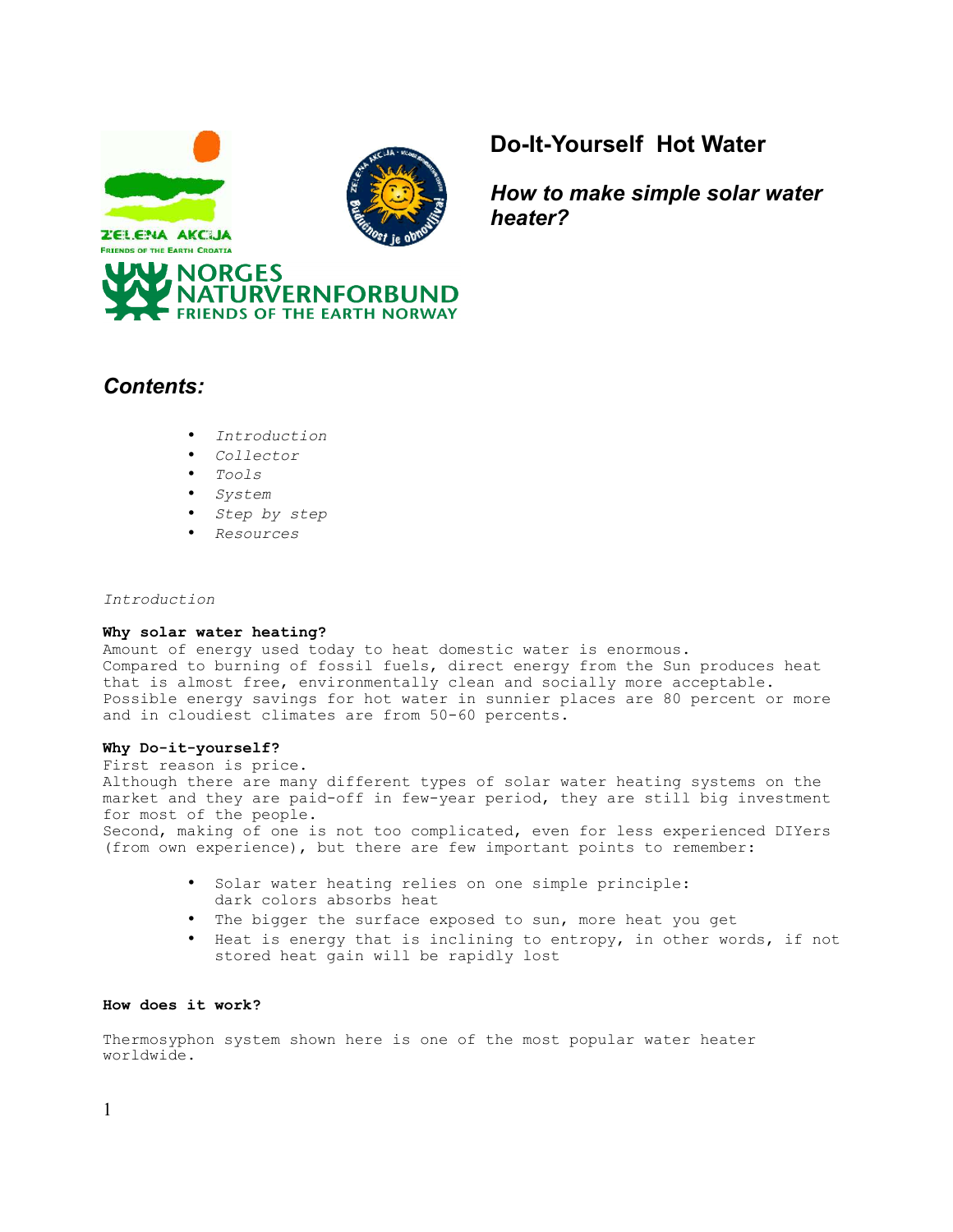

**FRIENDS OF THE EARTH CROATIA** 



# **Do-It-Yourself Hot Water**

*How to make simple solar water heater?*



## *Contents:*

- *Introduction*
- *Collector*
- *Tools*
- *System*
- *Step by step*
- *Resources*

## *Introduction*

## **Why solar water heating?**

Amount of energy used today to heat domestic water is enormous. Compared to burning of fossil fuels, direct energy from the Sun produces heat that is almost free, environmentally clean and socially more acceptable. Possible energy savings for hot water in sunnier places are 80 percent or more and in cloudiest climates are from 50-60 percents.

## **Why Do-it-yourself?**

First reason is price. Although there are many different types of solar water heating systems on the market and they are paid-off in few-year period, they are still big investment for most of the people. Second, making of one is not too complicated, even for less experienced DIYers (from own experience), but there are few important points to remember:

- Solar water heating relies on one simple principle: dark colors absorbs heat
- The bigger the surface exposed to sun, more heat you get
- Heat is energy that is inclining to entropy, in other words, if not stored heat gain will be rapidly lost

## **How does it work?**

Thermosyphon system shown here is one of the most popular water heater worldwide.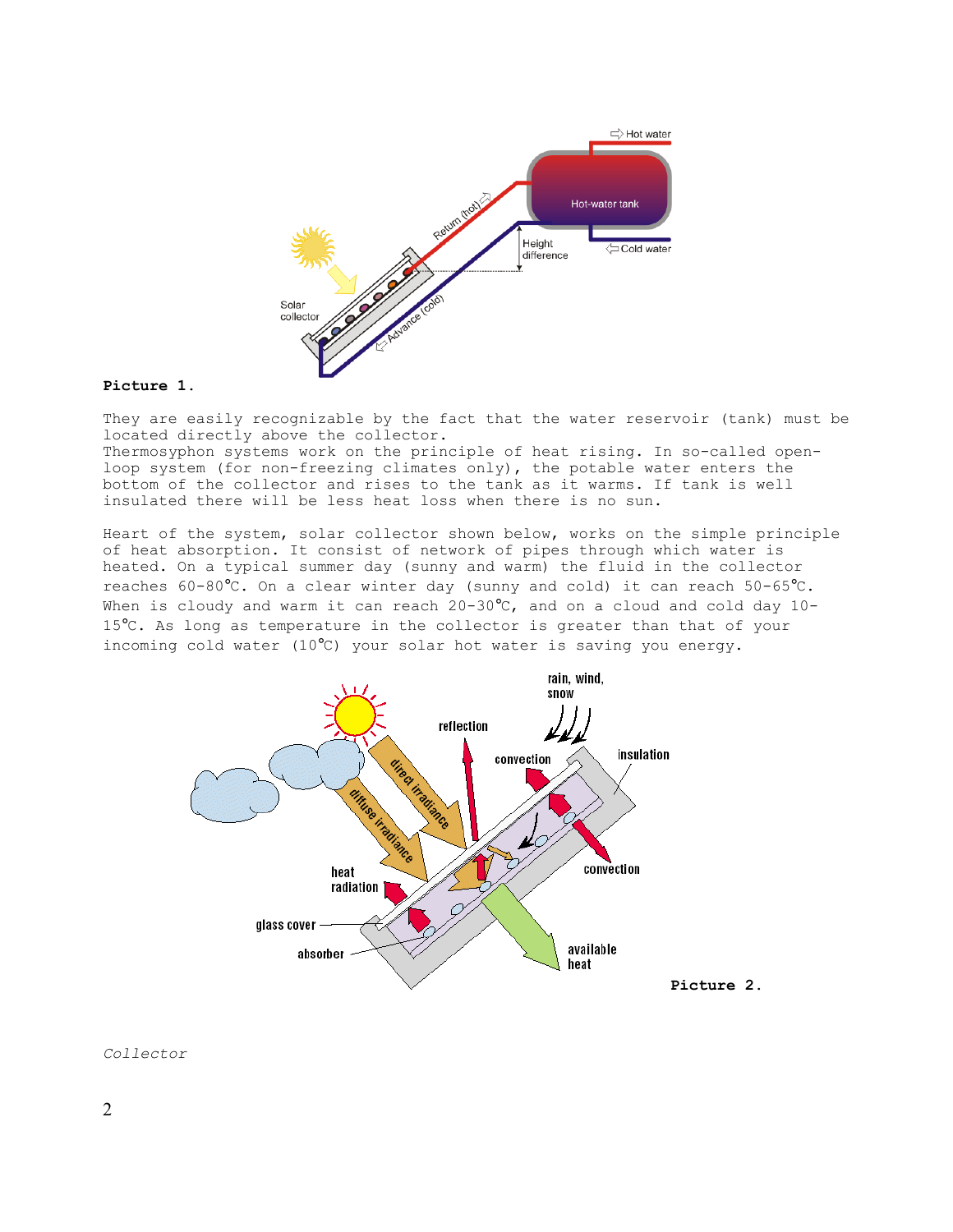

#### **Picture 1.**

They are easily recognizable by the fact that the water reservoir (tank) must be located directly above the collector.

Thermosyphon systems work on the principle of heat rising. In so-called openloop system (for non-freezing climates only), the potable water enters the bottom of the collector and rises to the tank as it warms. If tank is well insulated there will be less heat loss when there is no sun.

Heart of the system, solar collector shown below, works on the simple principle of heat absorption. It consist of network of pipes through which water is heated. On a typical summer day (sunny and warm) the fluid in the collector reaches 60-80°C. On a clear winter day (sunny and cold) it can reach 50-65°C. When is cloudy and warm it can reach 20-30°C, and on a cloud and cold day 10-15°C. As long as temperature in the collector is greater than that of your incoming cold water (10°C) your solar hot water is saving you energy.



## *Collector*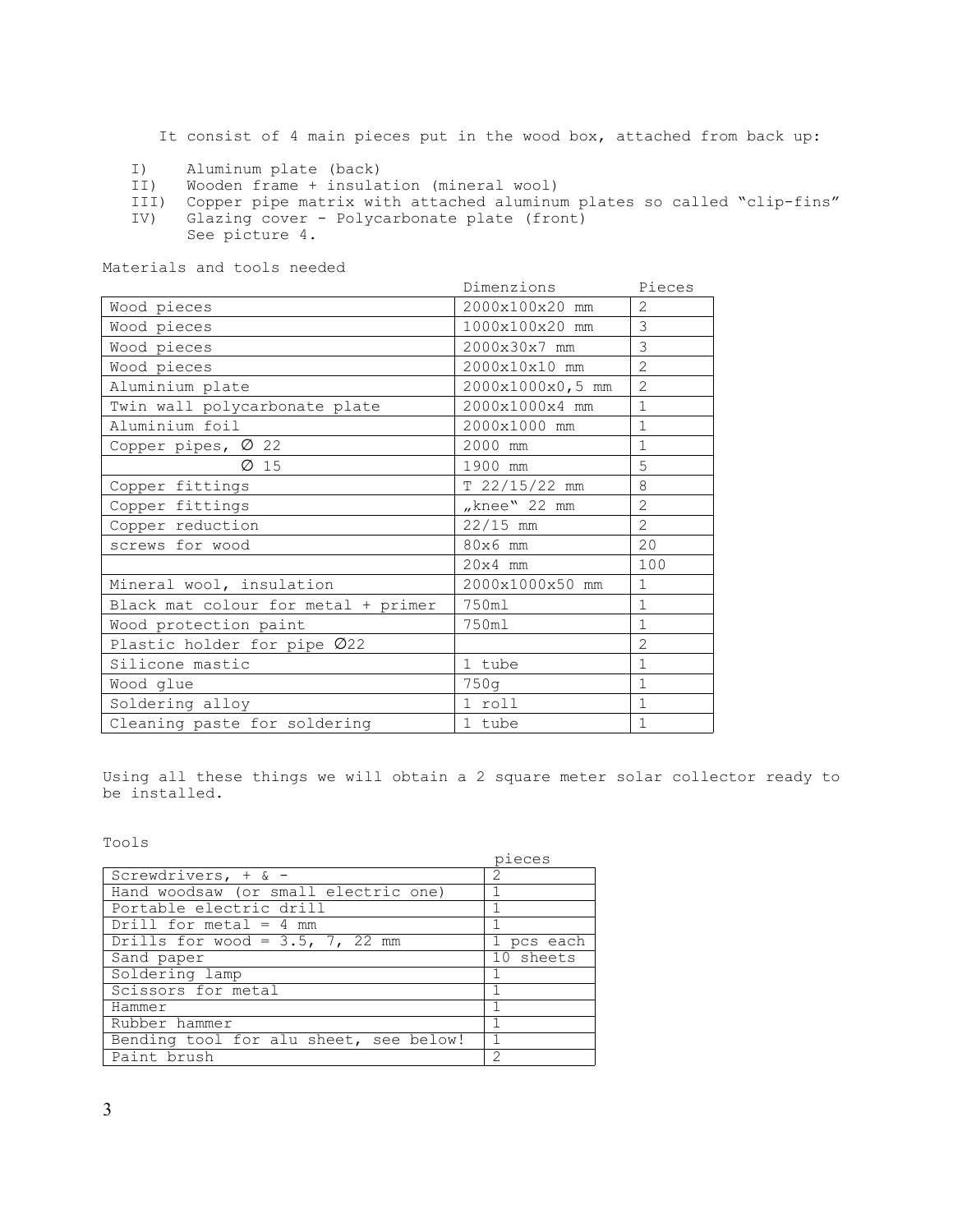It consist of 4 main pieces put in the wood box, attached from back up:

- I) Aluminum plate (back)<br>II) Wooden frame + insula
- Wooden frame + insulation (mineral wool)
- III) Copper pipe matrix with attached aluminum plates so called "clip-fins"<br>IV) Glazing cover Polycarbonate plate (front) Glazing cover - Polycarbonate plate (front)
	- See picture 4.

Materials and tools needed

|                                     | Dimenzions       | Pieces         |
|-------------------------------------|------------------|----------------|
| Wood pieces                         | 2000x100x20 mm   | $\mathcal{L}$  |
| Wood pieces                         | 1000x100x20 mm   | 3              |
| Wood pieces                         | 2000x30x7 mm     | 3              |
| Wood pieces                         | 2000x10x10 mm    | $\overline{2}$ |
| Aluminium plate                     | 2000x1000x0,5 mm | $\overline{2}$ |
| Twin wall polycarbonate plate       | 2000x1000x4 mm   | $\mathbf{1}$   |
| Aluminium foil                      | 2000x1000 mm     | $\mathbf{1}$   |
| Copper pipes, $\varnothing$ 22      | 2000 mm          | $\mathbf{1}$   |
| $\varnothing$ 15                    | 1900 mm          | 5              |
| Copper fittings                     | $T$ 22/15/22 mm  | 8              |
| Copper fittings                     | "knee" $22$ mm   | $\overline{2}$ |
| Copper reduction                    | $22/15$ mm       | $\overline{2}$ |
| screws for wood                     | 80x6 mm          | 20             |
|                                     | $20x4$ mm        | 100            |
| Mineral wool, insulation            | 2000x1000x50 mm  | $\mathbf{1}$   |
| Black mat colour for metal + primer | 750ml            | $\mathbf{1}$   |
| Wood protection paint               | 750ml            | $\mathbf{1}$   |
| Plastic holder for pipe Ø22         |                  | $\overline{2}$ |
| Silicone mastic                     | 1 tube           | $\mathbf{1}$   |
| Wood glue                           | 750q             | $\mathbf{1}$   |
| Soldering alloy                     | 1 roll           | $\overline{1}$ |
| Cleaning paste for soldering        | 1 tube           | 1              |

Using all these things we will obtain a 2 square meter solar collector ready to be installed.

Tools

|                                        | pieces                                                                                                                                                          |
|----------------------------------------|-----------------------------------------------------------------------------------------------------------------------------------------------------------------|
| Screwdrivers, $+$ & -                  | $\mathcal{D}_{\mathcal{A}}^{\mathcal{A}}(\mathcal{A})=\mathcal{D}_{\mathcal{A}}^{\mathcal{A}}(\mathcal{A})\mathcal{D}_{\mathcal{A}}^{\mathcal{A}}(\mathcal{A})$ |
| Hand woodsaw (or small electric one)   |                                                                                                                                                                 |
| Portable electric drill                | 1                                                                                                                                                               |
| Drill for metal = $4 \text{ mm}$       |                                                                                                                                                                 |
| Drills for wood = $3.5$ , 7, 22 mm     | 1 pcs each                                                                                                                                                      |
| Sand paper                             | 10 sheets                                                                                                                                                       |
| Soldering lamp                         | 1                                                                                                                                                               |
| Scissors for metal                     |                                                                                                                                                                 |
| Hammer                                 |                                                                                                                                                                 |
| Rubber hammer                          | 1                                                                                                                                                               |
| Bending tool for alu sheet, see below! | 1                                                                                                                                                               |
| Paint brush                            | $\mathcal{D}$                                                                                                                                                   |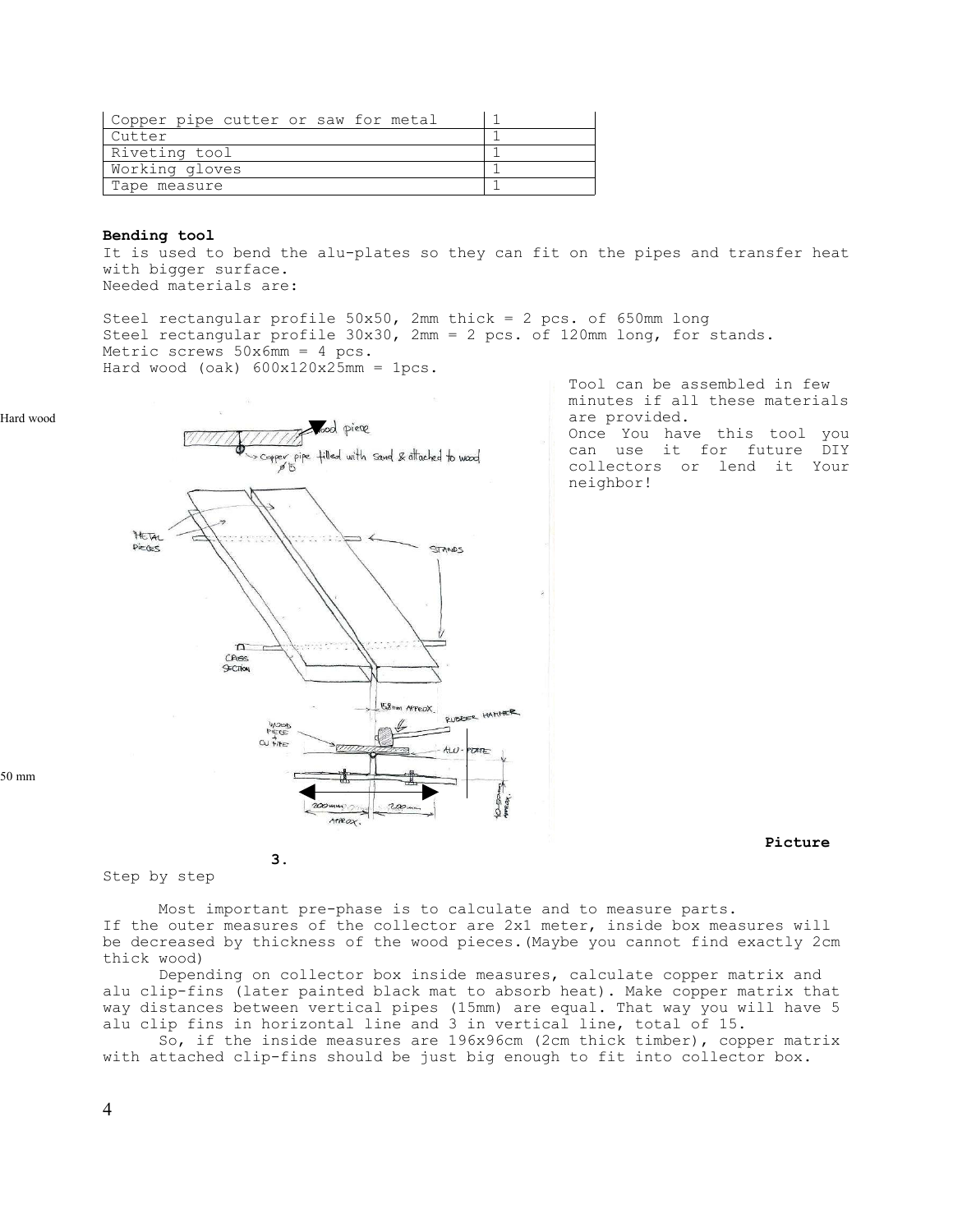| Copper pipe cutter or saw for metal |  |
|-------------------------------------|--|
| Cutter                              |  |
| Riveting tool                       |  |
| Working gloves                      |  |
| Tape measure                        |  |

#### **Bending tool**

It is used to bend the alu-plates so they can fit on the pipes and transfer heat with bigger surface. Needed materials are:

Steel rectangular profile 50x50, 2mm thick = 2 pcs. of 650mm long Steel rectangular profile 30x30, 2mm = 2 pcs. of 120mm long, for stands. Metric screws  $50x6mm = 4 pcs.$ Hard wood (oak)  $600x120x25mm = 1pcs$ .





**3.**

Tool can be assembled in few minutes if all these materials are provided. Once You have this tool you

can use it for future DIY collectors or lend it Your neighbor!

50 mm

 **Picture**

## Step by step

Most important pre-phase is to calculate and to measure parts. If the outer measures of the collector are 2x1 meter, inside box measures will be decreased by thickness of the wood pieces.(Maybe you cannot find exactly 2cm thick wood)

Depending on collector box inside measures, calculate copper matrix and alu clip-fins (later painted black mat to absorb heat). Make copper matrix that way distances between vertical pipes (15mm) are equal. That way you will have 5 alu clip fins in horizontal line and 3 in vertical line, total of 15.

So, if the inside measures are 196x96cm (2cm thick timber), copper matrix with attached clip-fins should be just big enough to fit into collector box.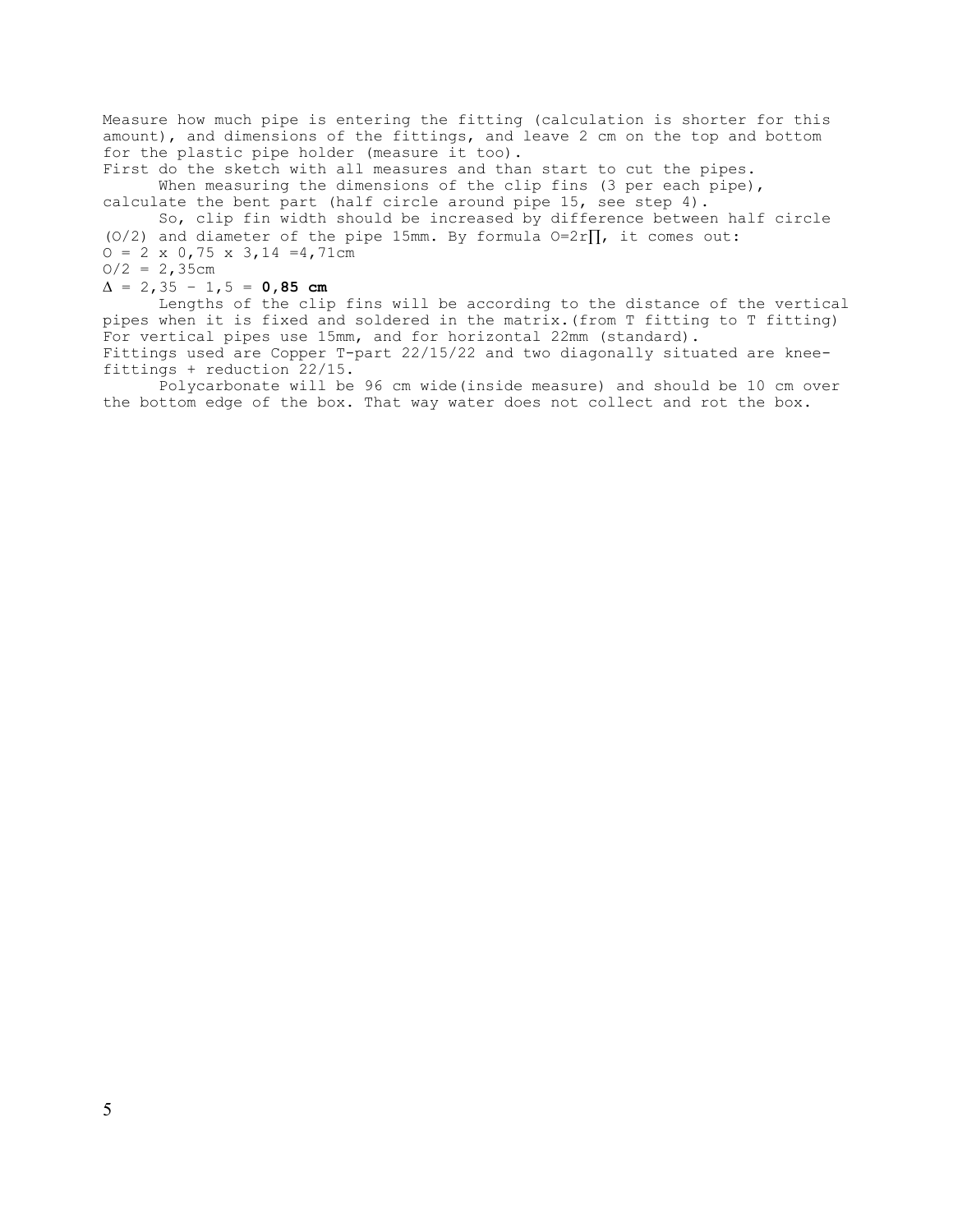Measure how much pipe is entering the fitting (calculation is shorter for this amount), and dimensions of the fittings, and leave 2 cm on the top and bottom for the plastic pipe holder (measure it too).

First do the sketch with all measures and than start to cut the pipes. When measuring the dimensions of the clip fins (3 per each pipe), calculate the bent part (half circle around pipe 15, see step 4).

So, clip fin width should be increased by difference between half circle (O/2) and diameter of the pipe 15mm. By formula  $0=2r\prod$ , it comes out:  $O = 2 \times 0,75 \times 3,14 = 4,71$ cm

 $O/2 = 2,35cm$ 

#### $\Delta = 2,35 - 1,5 = 0,85$  cm

Lengths of the clip fins will be according to the distance of the vertical pipes when it is fixed and soldered in the matrix.(from T fitting to T fitting) For vertical pipes use 15mm, and for horizontal 22mm (standard). Fittings used are Copper T-part 22/15/22 and two diagonally situated are kneefittings + reduction 22/15.

Polycarbonate will be 96 cm wide(inside measure) and should be 10 cm over the bottom edge of the box. That way water does not collect and rot the box.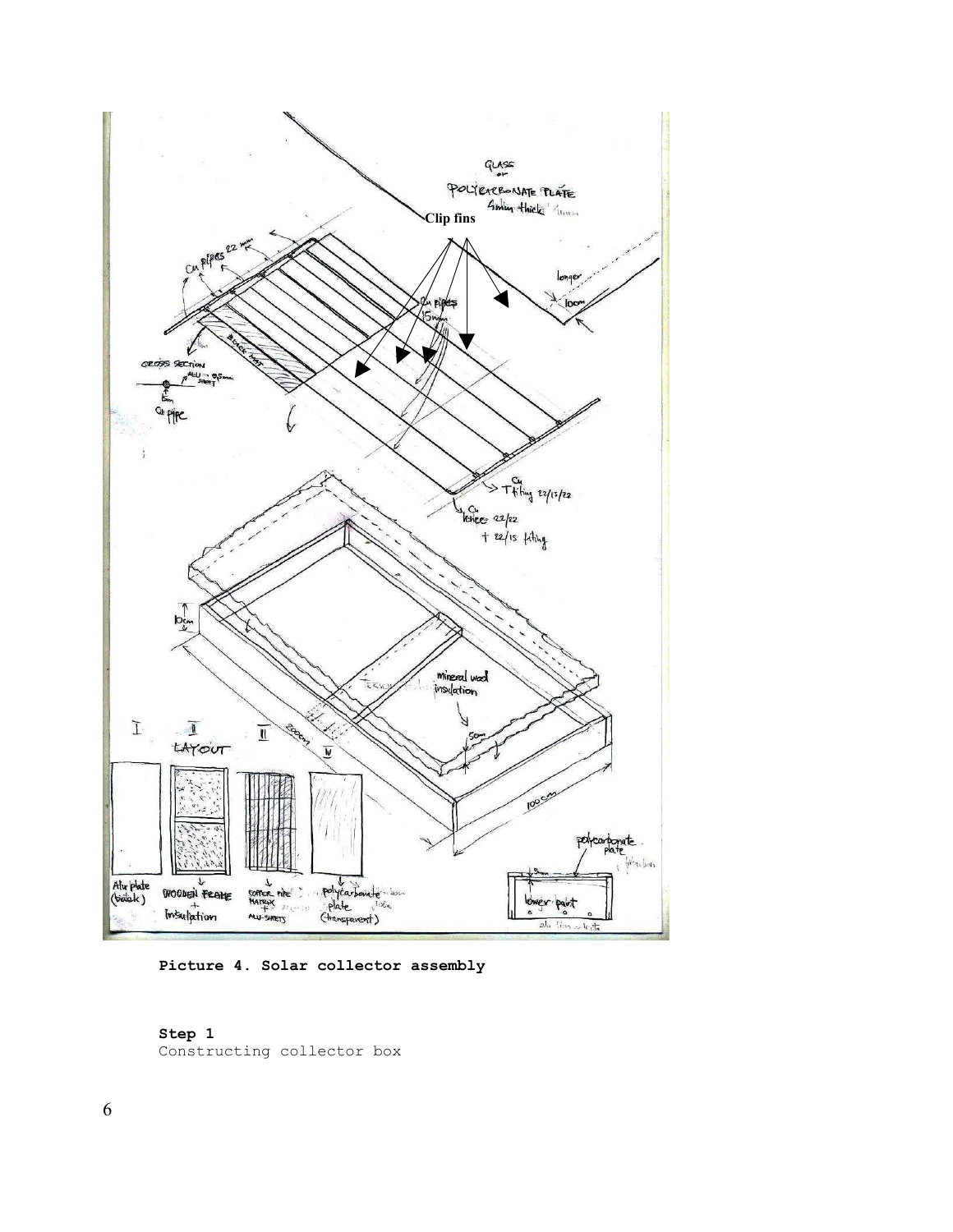

**Picture 4. Solar collector assembly**

## **Step 1**

Constructing collector box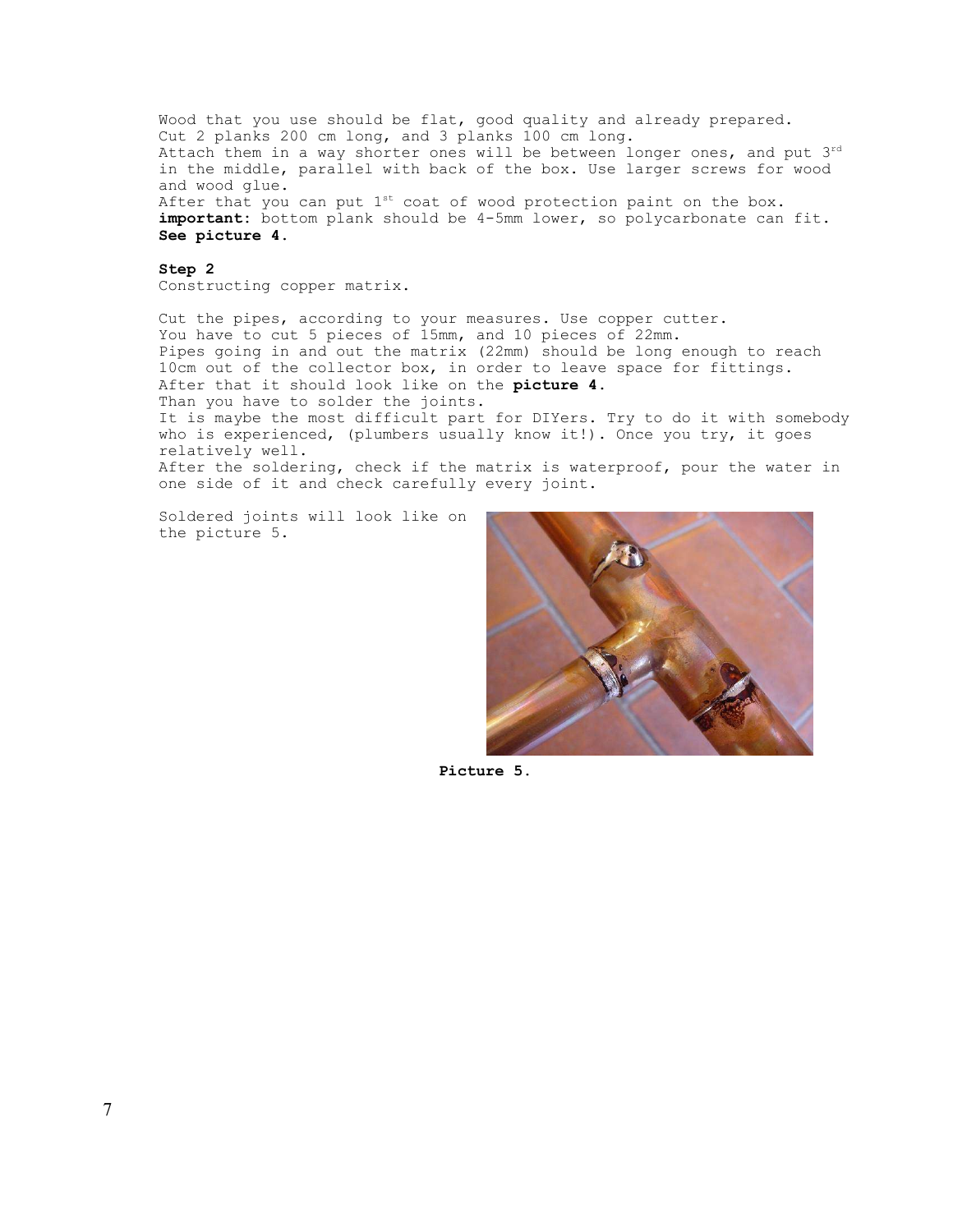Wood that you use should be flat, good quality and already prepared. Cut 2 planks 200 cm long, and 3 planks 100 cm long. Attach them in a way shorter ones will be between longer ones, and put 3rd in the middle, parallel with back of the box. Use larger screws for wood and wood glue. After that you can put  $1^{st}$  coat of wood protection paint on the box. **important:** bottom plank should be 4-5mm lower, so polycarbonate can fit. **See picture 4.**

**Step 2** Constructing copper matrix.

Cut the pipes, according to your measures. Use copper cutter. You have to cut 5 pieces of 15mm, and 10 pieces of 22mm. Pipes going in and out the matrix (22mm) should be long enough to reach 10cm out of the collector box, in order to leave space for fittings. After that it should look like on the **picture 4.**  Than you have to solder the joints. It is maybe the most difficult part for DIYers. Try to do it with somebody who is experienced, (plumbers usually know it!). Once you try, it goes relatively well. After the soldering, check if the matrix is waterproof, pour the water in one side of it and check carefully every joint.

Soldered joints will look like on the picture 5.



**Picture 5.**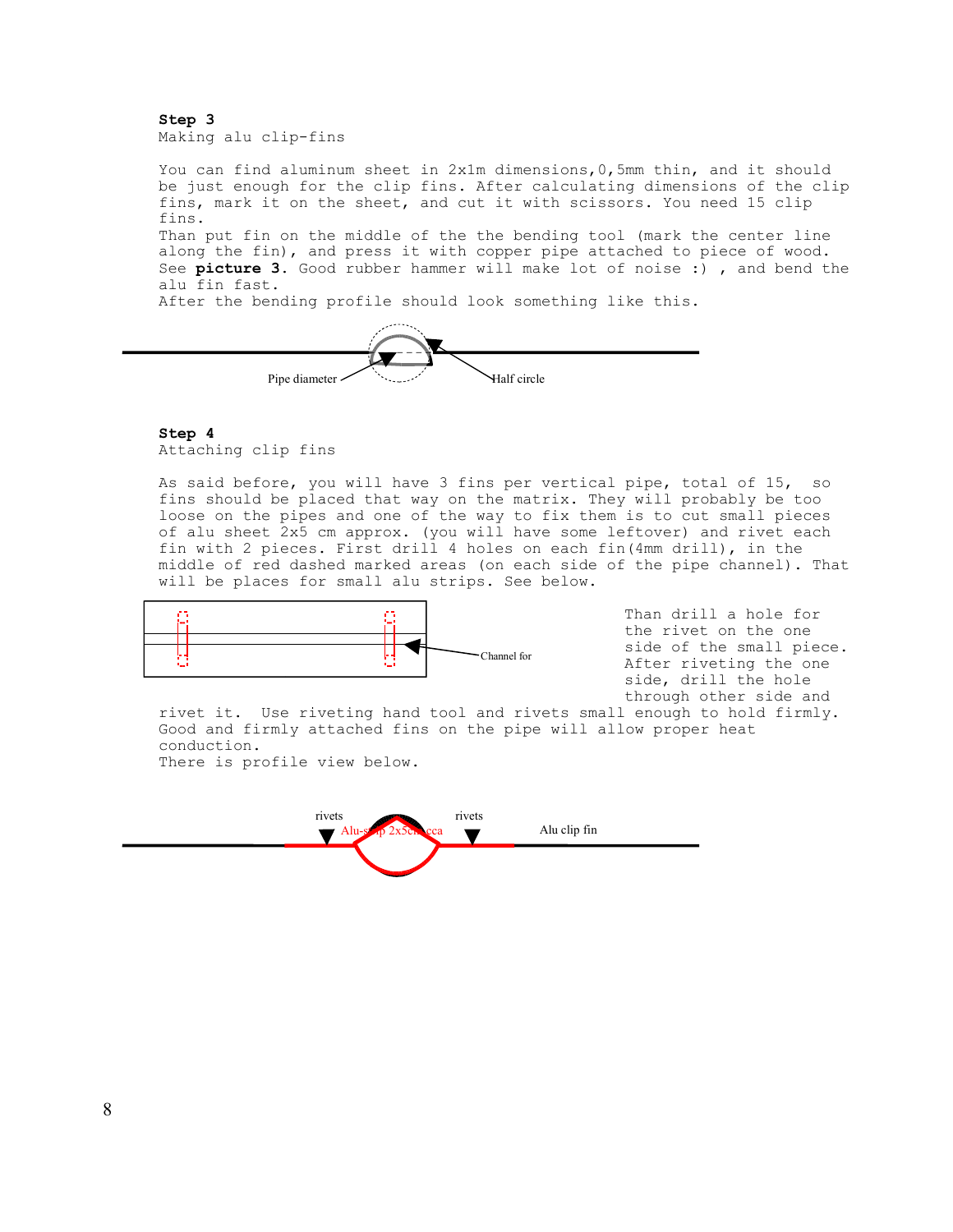**Step 3** Making alu clip-fins

You can find aluminum sheet in 2x1m dimensions, 0, 5mm thin, and it should be just enough for the clip fins. After calculating dimensions of the clip fins, mark it on the sheet, and cut it with scissors. You need 15 clip fins. Than put fin on the middle of the the bending tool (mark the center line along the fin), and press it with copper pipe attached to piece of wood. See **picture 3.** Good rubber hammer will make lot of noise :) , and bend the alu fin fast. After the bending profile should look something like this.



#### **Step 4**

Attaching clip fins

As said before, you will have 3 fins per vertical pipe, total of 15, so fins should be placed that way on the matrix. They will probably be too loose on the pipes and one of the way to fix them is to cut small pieces of alu sheet 2x5 cm approx. (you will have some leftover) and rivet each fin with 2 pieces. First drill 4 holes on each fin(4mm drill), in the middle of red dashed marked areas (on each side of the pipe channel). That will be places for small alu strips. See below.



Than drill a hole for the rivet on the one side of the small piece. After riveting the one side, drill the hole through other side and

rivet it. Use riveting hand tool and rivets small enough to hold firmly. Good and firmly attached fins on the pipe will allow proper heat conduction. There is profile view below.

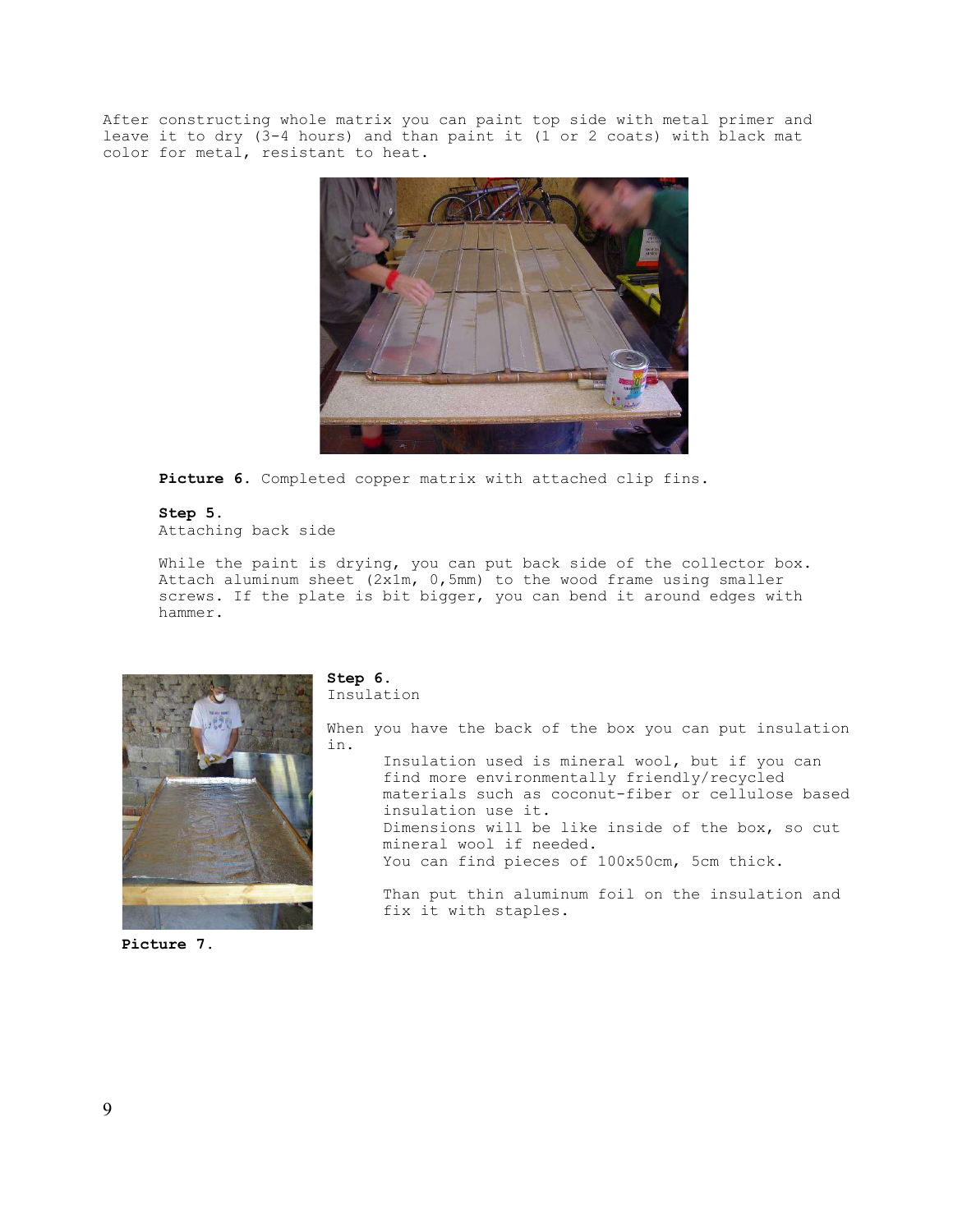After constructing whole matrix you can paint top side with metal primer and leave it to dry (3-4 hours) and than paint it (1 or 2 coats) with black mat color for metal, resistant to heat.



**Picture 6.** Completed copper matrix with attached clip fins.

## **Step 5.**

Attaching back side

While the paint is drying, you can put back side of the collector box. Attach aluminum sheet (2x1m, 0,5mm) to the wood frame using smaller screws. If the plate is bit bigger, you can bend it around edges with hammer.



#### **Picture 7.**

#### **Step 6.** Insulation

When you have the back of the box you can put insulation in.

Insulation used is mineral wool, but if you can find more environmentally friendly/recycled materials such as coconut-fiber or cellulose based insulation use it. Dimensions will be like inside of the box, so cut mineral wool if needed. You can find pieces of 100x50cm, 5cm thick.

Than put thin aluminum foil on the insulation and fix it with staples.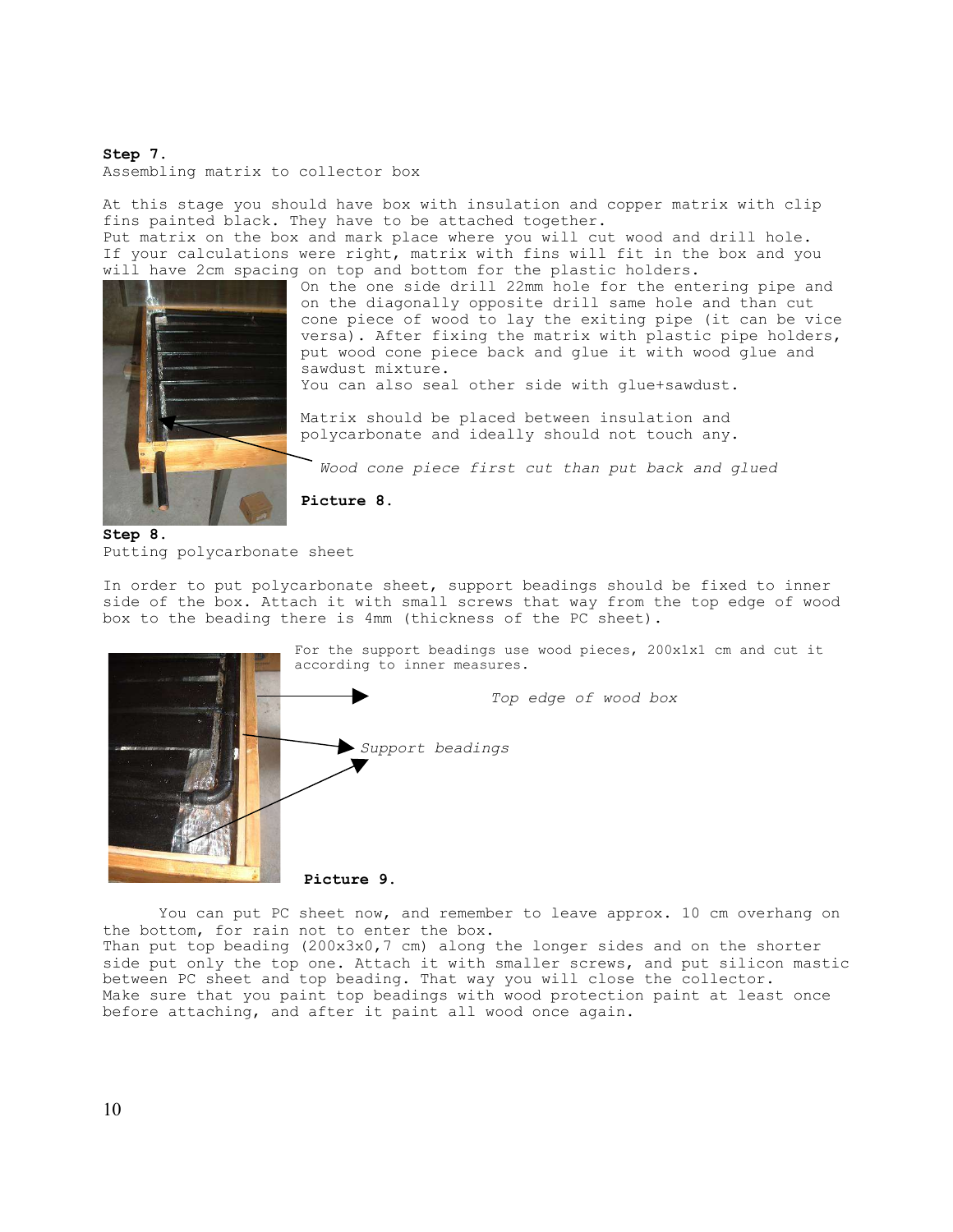#### **Step 7.**

Assembling matrix to collector box

At this stage you should have box with insulation and copper matrix with clip fins painted black. They have to be attached together. Put matrix on the box and mark place where you will cut wood and drill hole. If your calculations were right, matrix with fins will fit in the box and you will have 2cm spacing on top and bottom for the plastic holders.



On the one side drill 22mm hole for the entering pipe and on the diagonally opposite drill same hole and than cut cone piece of wood to lay the exiting pipe (it can be vice versa). After fixing the matrix with plastic pipe holders, put wood cone piece back and glue it with wood glue and sawdust mixture.

You can also seal other side with glue+sawdust.

Matrix should be placed between insulation and polycarbonate and ideally should not touch any.

*Wood cone piece first cut than put back and glued*

**Step 8.** Putting polycarbonate sheet

**Picture 8.**

In order to put polycarbonate sheet, support beadings should be fixed to inner side of the box. Attach it with small screws that way from the top edge of wood box to the beading there is 4mm (thickness of the PC sheet).



You can put PC sheet now, and remember to leave approx. 10 cm overhang on the bottom, for rain not to enter the box.

Than put top beading (200x3x0,7 cm) along the longer sides and on the shorter side put only the top one. Attach it with smaller screws, and put silicon mastic between PC sheet and top beading. That way you will close the collector. Make sure that you paint top beadings with wood protection paint at least once before attaching, and after it paint all wood once again.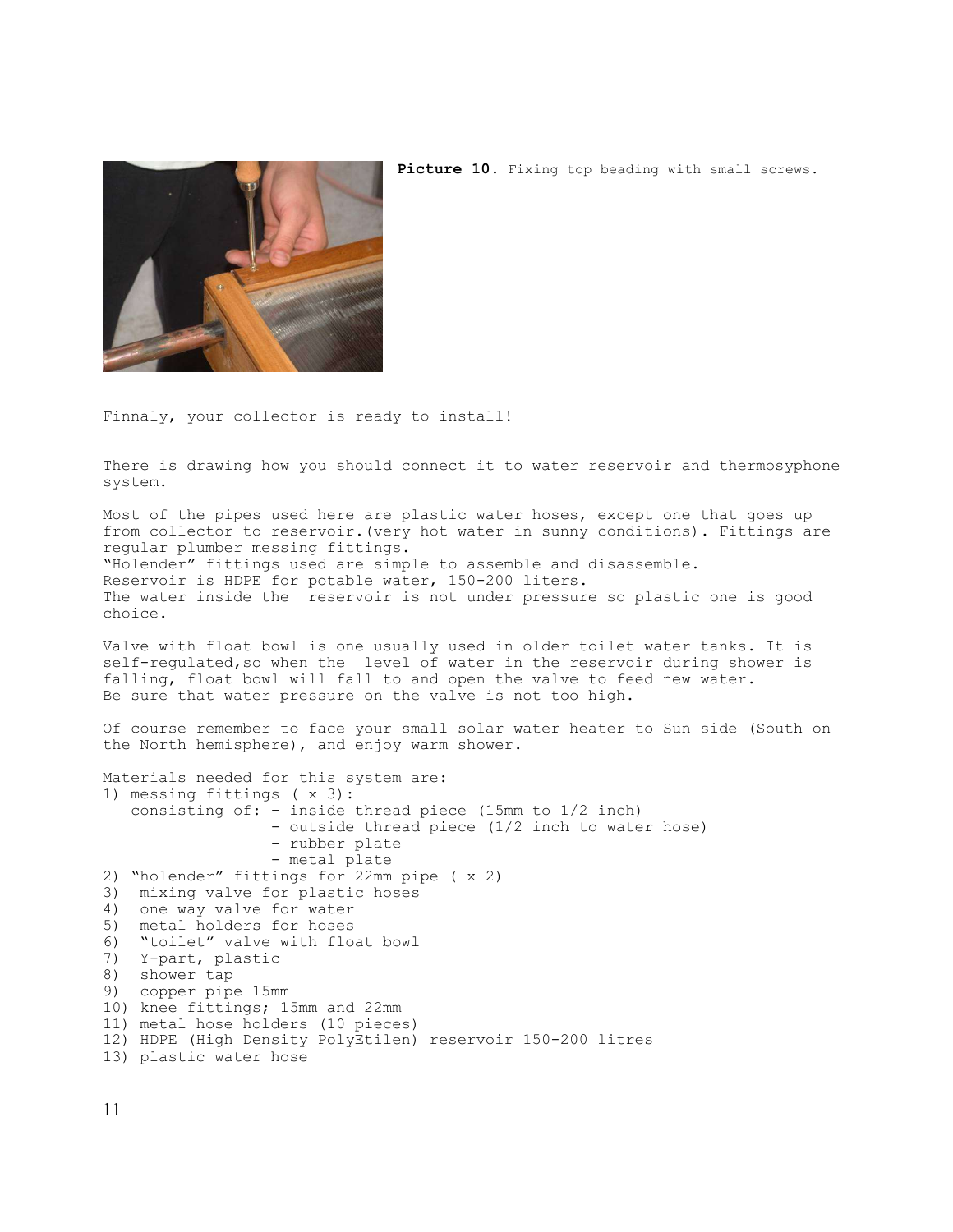

Picture 10. Fixing top beading with small screws.

Finnaly, your collector is ready to install!

There is drawing how you should connect it to water reservoir and thermosyphone system.

Most of the pipes used here are plastic water hoses, except one that goes up from collector to reservoir.(very hot water in sunny conditions). Fittings are regular plumber messing fittings. "Holender" fittings used are simple to assemble and disassemble. Reservoir is HDPE for potable water, 150-200 liters. The water inside the reservoir is not under pressure so plastic one is good choice.

Valve with float bowl is one usually used in older toilet water tanks. It is self-requlated, so when the level of water in the reservoir during shower is falling, float bowl will fall to and open the valve to feed new water. Be sure that water pressure on the valve is not too high.

Of course remember to face your small solar water heater to Sun side (South on the North hemisphere), and enjoy warm shower.

Materials needed for this system are: 1) messing fittings ( x 3): consisting of: - inside thread piece (15mm to 1/2 inch) - outside thread piece (1/2 inch to water hose) - rubber plate - metal plate 2) "holender" fittings for 22mm pipe ( x 2) 3) mixing valve for plastic hoses 4) one way valve for water 5) metal holders for hoses 6) "toilet" valve with float bowl 7) Y-part, plastic 8) shower tap 9) copper pipe 15mm 10) knee fittings; 15mm and 22mm 11) metal hose holders (10 pieces) 12) HDPE (High Density PolyEtilen) reservoir 150-200 litres 13) plastic water hose